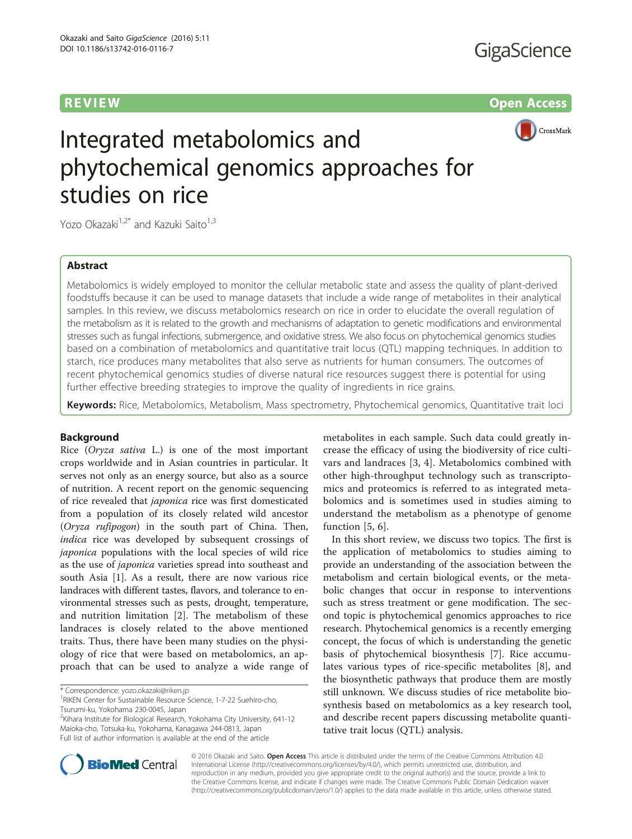# **REVIEW CONTROL** CONTROL CONTROL CONTROL CONTROL CONTROL CONTROL CONTROL CONTROL CONTROL CONTROL CONTROL CONTROL CONTROL CONTROL CONTROL CONTROL CONTROL CONTROL CONTROL CONTROL CONTROL CONTROL CONTROL CONTROL CONTROL CONTR



Integrated metabolomics and phytochemical genomics approaches for studies on rice

Yozo Okazaki<sup>1,2\*</sup> and Kazuki Saito<sup>1,3</sup>

# Abstract

Metabolomics is widely employed to monitor the cellular metabolic state and assess the quality of plant-derived foodstuffs because it can be used to manage datasets that include a wide range of metabolites in their analytical samples. In this review, we discuss metabolomics research on rice in order to elucidate the overall regulation of the metabolism as it is related to the growth and mechanisms of adaptation to genetic modifications and environmental stresses such as fungal infections, submergence, and oxidative stress. We also focus on phytochemical genomics studies based on a combination of metabolomics and quantitative trait locus (QTL) mapping techniques. In addition to starch, rice produces many metabolites that also serve as nutrients for human consumers. The outcomes of recent phytochemical genomics studies of diverse natural rice resources suggest there is potential for using further effective breeding strategies to improve the quality of ingredients in rice grains.

Keywords: Rice, Metabolomics, Metabolism, Mass spectrometry, Phytochemical genomics, Quantitative trait loci

# Background

Rice (Oryza sativa L.) is one of the most important crops worldwide and in Asian countries in particular. It serves not only as an energy source, but also as a source of nutrition. A recent report on the genomic sequencing of rice revealed that japonica rice was first domesticated from a population of its closely related wild ancestor (Oryza rufipogon) in the south part of China. Then, indica rice was developed by subsequent crossings of japonica populations with the local species of wild rice as the use of japonica varieties spread into southeast and south Asia [\[1](#page-4-0)]. As a result, there are now various rice landraces with different tastes, flavors, and tolerance to environmental stresses such as pests, drought, temperature, and nutrition limitation [[2](#page-4-0)]. The metabolism of these landraces is closely related to the above mentioned traits. Thus, there have been many studies on the physiology of rice that were based on metabolomics, an approach that can be used to analyze a wide range of

<sup>2</sup>Kihara Institute for Biological Research, Yokohama City University, 641-12 Maioka-cho, Totsuka-ku, Yokohama, Kanagawa 244-0813, Japan Full list of author information is available at the end of the article

metabolites in each sample. Such data could greatly increase the efficacy of using the biodiversity of rice cultivars and landraces [\[3](#page-4-0), [4\]](#page-4-0). Metabolomics combined with other high-throughput technology such as transcriptomics and proteomics is referred to as integrated metabolomics and is sometimes used in studies aiming to understand the metabolism as a phenotype of genome function [[5, 6](#page-4-0)].

In this short review, we discuss two topics. The first is the application of metabolomics to studies aiming to provide an understanding of the association between the metabolism and certain biological events, or the metabolic changes that occur in response to interventions such as stress treatment or gene modification. The second topic is phytochemical genomics approaches to rice research. Phytochemical genomics is a recently emerging concept, the focus of which is understanding the genetic basis of phytochemical biosynthesis [\[7\]](#page-4-0). Rice accumulates various types of rice-specific metabolites [[8\]](#page-4-0), and the biosynthetic pathways that produce them are mostly still unknown. We discuss studies of rice metabolite biosynthesis based on metabolomics as a key research tool, and describe recent papers discussing metabolite quantitative trait locus (QTL) analysis.



© 2016 Okazaki and Saito. Open Access This article is distributed under the terms of the Creative Commons Attribution 4.0 International License [\(http://creativecommons.org/licenses/by/4.0/](http://creativecommons.org/licenses/by/4.0/)), which permits unrestricted use, distribution, and reproduction in any medium, provided you give appropriate credit to the original author(s) and the source, provide a link to the Creative Commons license, and indicate if changes were made. The Creative Commons Public Domain Dedication waiver [\(http://creativecommons.org/publicdomain/zero/1.0/](http://creativecommons.org/publicdomain/zero/1.0/)) applies to the data made available in this article, unless otherwise stated.

<sup>\*</sup> Correspondence: [yozo.okazaki@riken.jp](mailto:yozo.okazaki@riken.jp) <sup>1</sup>

<sup>&</sup>lt;sup>1</sup>RIKEN Center for Sustainable Resource Science, 1-7-22 Suehiro-cho, Tsurumi-ku, Yokohama 230-0045, Japan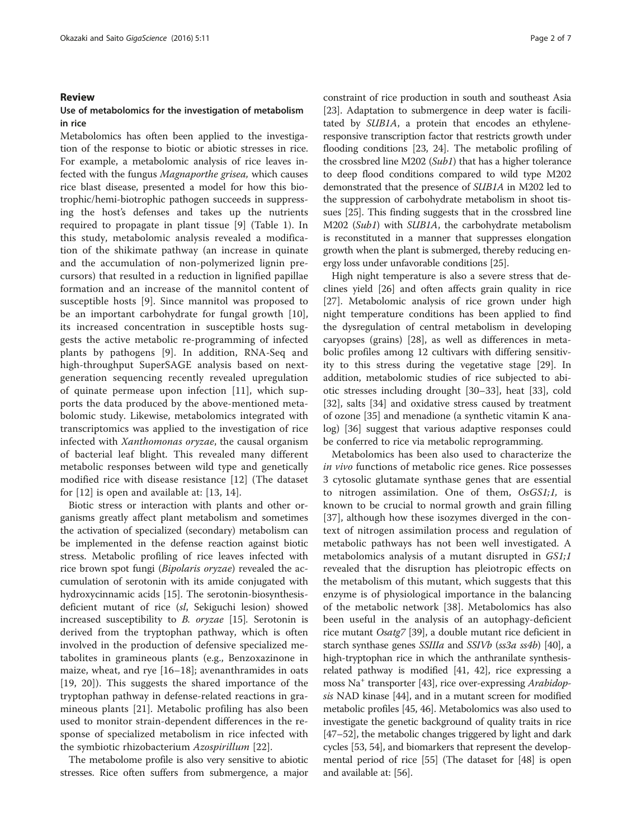# Review

# Use of metabolomics for the investigation of metabolism in rice

Metabolomics has often been applied to the investigation of the response to biotic or abiotic stresses in rice. For example, a metabolomic analysis of rice leaves infected with the fungus Magnaporthe grisea, which causes rice blast disease, presented a model for how this biotrophic/hemi-biotrophic pathogen succeeds in suppressing the host's defenses and takes up the nutrients required to propagate in plant tissue [[9\]](#page-4-0) (Table [1\)](#page-2-0). In this study, metabolomic analysis revealed a modification of the shikimate pathway (an increase in quinate and the accumulation of non-polymerized lignin precursors) that resulted in a reduction in lignified papillae formation and an increase of the mannitol content of susceptible hosts [\[9](#page-4-0)]. Since mannitol was proposed to be an important carbohydrate for fungal growth [\[10](#page-4-0)], its increased concentration in susceptible hosts suggests the active metabolic re-programming of infected plants by pathogens [[9\]](#page-4-0). In addition, RNA-Seq and high-throughput SuperSAGE analysis based on nextgeneration sequencing recently revealed upregulation of quinate permease upon infection [[11\]](#page-4-0), which supports the data produced by the above-mentioned metabolomic study. Likewise, metabolomics integrated with transcriptomics was applied to the investigation of rice infected with Xanthomonas oryzae, the causal organism of bacterial leaf blight. This revealed many different metabolic responses between wild type and genetically modified rice with disease resistance [\[12](#page-4-0)] (The dataset for [[12\]](#page-4-0) is open and available at: [[13](#page-4-0), [14](#page-4-0)].

Biotic stress or interaction with plants and other organisms greatly affect plant metabolism and sometimes the activation of specialized (secondary) metabolism can be implemented in the defense reaction against biotic stress. Metabolic profiling of rice leaves infected with rice brown spot fungi (Bipolaris oryzae) revealed the accumulation of serotonin with its amide conjugated with hydroxycinnamic acids [\[15\]](#page-4-0). The serotonin-biosynthesisdeficient mutant of rice (sl, Sekiguchi lesion) showed increased susceptibility to B. oryzae [\[15\]](#page-4-0). Serotonin is derived from the tryptophan pathway, which is often involved in the production of defensive specialized metabolites in gramineous plants (e.g., Benzoxazinone in maize, wheat, and rye [[16](#page-4-0)–[18](#page-4-0)]; avenanthramides in oats [[19, 20\]](#page-5-0)). This suggests the shared importance of the tryptophan pathway in defense-related reactions in gramineous plants [\[21](#page-5-0)]. Metabolic profiling has also been used to monitor strain-dependent differences in the response of specialized metabolism in rice infected with the symbiotic rhizobacterium Azospirillum [[22](#page-5-0)].

The metabolome profile is also very sensitive to abiotic stresses. Rice often suffers from submergence, a major constraint of rice production in south and southeast Asia [[23](#page-5-0)]. Adaptation to submergence in deep water is facilitated by SUB1A, a protein that encodes an ethyleneresponsive transcription factor that restricts growth under flooding conditions [[23](#page-5-0), [24\]](#page-5-0). The metabolic profiling of the crossbred line M202 (Sub1) that has a higher tolerance to deep flood conditions compared to wild type M202 demonstrated that the presence of SUB1A in M202 led to the suppression of carbohydrate metabolism in shoot tissues [\[25\]](#page-5-0). This finding suggests that in the crossbred line M202 (Sub1) with SUB1A, the carbohydrate metabolism is reconstituted in a manner that suppresses elongation growth when the plant is submerged, thereby reducing energy loss under unfavorable conditions [[25\]](#page-5-0).

High night temperature is also a severe stress that declines yield [\[26](#page-5-0)] and often affects grain quality in rice [[27\]](#page-5-0). Metabolomic analysis of rice grown under high night temperature conditions has been applied to find the dysregulation of central metabolism in developing caryopses (grains) [\[28](#page-5-0)], as well as differences in metabolic profiles among 12 cultivars with differing sensitivity to this stress during the vegetative stage [\[29\]](#page-5-0). In addition, metabolomic studies of rice subjected to abiotic stresses including drought [[30](#page-5-0)–[33](#page-5-0)], heat [[33\]](#page-5-0), cold [[32\]](#page-5-0), salts [[34](#page-5-0)] and oxidative stress caused by treatment of ozone [[35\]](#page-5-0) and menadione (a synthetic vitamin K analog) [[36\]](#page-5-0) suggest that various adaptive responses could be conferred to rice via metabolic reprogramming.

Metabolomics has been also used to characterize the in vivo functions of metabolic rice genes. Rice possesses 3 cytosolic glutamate synthase genes that are essential to nitrogen assimilation. One of them, OsGS1;1, is known to be crucial to normal growth and grain filling [[37\]](#page-5-0), although how these isozymes diverged in the context of nitrogen assimilation process and regulation of metabolic pathways has not been well investigated. A metabolomics analysis of a mutant disrupted in GS1;1 revealed that the disruption has pleiotropic effects on the metabolism of this mutant, which suggests that this enzyme is of physiological importance in the balancing of the metabolic network [\[38](#page-5-0)]. Metabolomics has also been useful in the analysis of an autophagy-deficient rice mutant Osatg7 [\[39\]](#page-5-0), a double mutant rice deficient in starch synthase genes *SSIIIa* and *SSIVb* (ss3*a* ss4*b*) [\[40\]](#page-5-0), a high-tryptophan rice in which the anthranilate synthesisrelated pathway is modified [\[41](#page-5-0), [42\]](#page-5-0), rice expressing a moss Na<sup>+</sup> transporter [\[43](#page-5-0)], rice over-expressing *Arabidop*sis NAD kinase [\[44\]](#page-5-0), and in a mutant screen for modified metabolic profiles [[45](#page-5-0), [46\]](#page-5-0). Metabolomics was also used to investigate the genetic background of quality traits in rice [[47](#page-5-0)–[52\]](#page-5-0), the metabolic changes triggered by light and dark cycles [[53, 54\]](#page-5-0), and biomarkers that represent the developmental period of rice [\[55\]](#page-5-0) (The dataset for [\[48](#page-5-0)] is open and available at: [\[56\]](#page-5-0).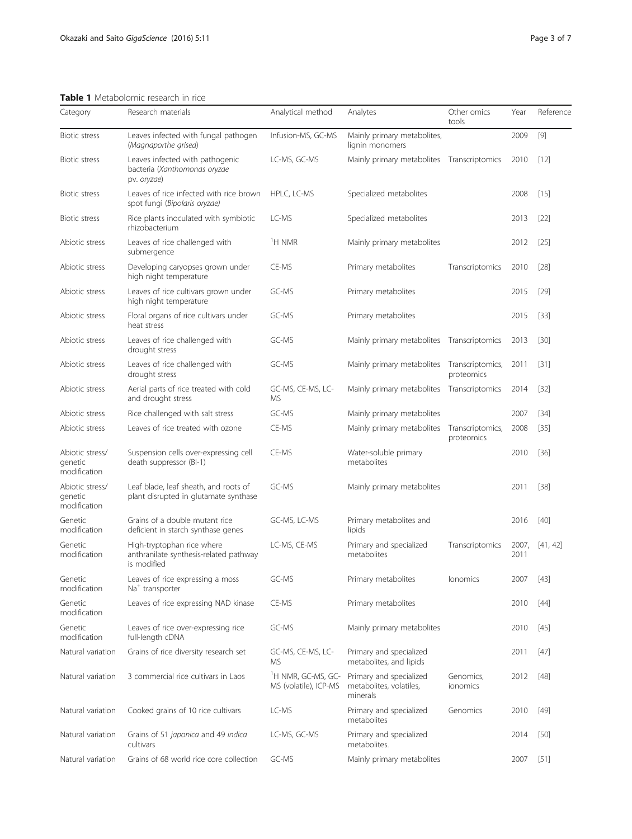<span id="page-2-0"></span>Table 1 Metabolomic research in rice

| Category                                   | Research materials                                                                  | Analytical method                                       | Analytes                                                       | Other omics<br>tools           | Year          | Reference |
|--------------------------------------------|-------------------------------------------------------------------------------------|---------------------------------------------------------|----------------------------------------------------------------|--------------------------------|---------------|-----------|
| Biotic stress                              | Leaves infected with fungal pathogen<br>(Magnaporthe grisea)                        | Infusion-MS, GC-MS                                      | Mainly primary metabolites,<br>lignin monomers                 |                                | 2009          | $[9]$     |
| <b>Biotic stress</b>                       | Leaves infected with pathogenic<br>bacteria (Xanthomonas oryzae<br>pv. oryzae)      | LC-MS, GC-MS                                            | Mainly primary metabolites                                     | Transcriptomics                | 2010          | $[12]$    |
| <b>Biotic stress</b>                       | Leaves of rice infected with rice brown<br>spot fungi (Bipolaris oryzae)            | HPLC, LC-MS                                             | Specialized metabolites                                        |                                | 2008          | $[15]$    |
| <b>Biotic stress</b>                       | Rice plants inoculated with symbiotic<br>rhizobacterium                             | LC-MS                                                   | Specialized metabolites                                        |                                | 2013          | $[22]$    |
| Abiotic stress                             | Leaves of rice challenged with<br>submergence                                       | <sup>1</sup> H NMR                                      | Mainly primary metabolites                                     |                                | 2012          | $[25]$    |
| Abiotic stress                             | Developing caryopses grown under<br>high night temperature                          | CE-MS                                                   | Primary metabolites                                            | Transcriptomics                | 2010          | $[28]$    |
| Abiotic stress                             | Leaves of rice cultivars grown under<br>high night temperature                      | GC-MS                                                   | Primary metabolites                                            |                                | 2015          | $[29]$    |
| Abiotic stress                             | Floral organs of rice cultivars under<br>heat stress                                | GC-MS                                                   | Primary metabolites                                            |                                | 2015          | $[33]$    |
| Abiotic stress                             | Leaves of rice challenged with<br>drought stress                                    | GC-MS                                                   | Mainly primary metabolites Transcriptomics                     |                                | 2013          | $[30]$    |
| Abiotic stress                             | Leaves of rice challenged with<br>drought stress                                    | GC-MS                                                   | Mainly primary metabolites                                     | Transcriptomics,<br>proteomics | 2011          | $[31]$    |
| Abiotic stress                             | Aerial parts of rice treated with cold<br>and drought stress                        | GC-MS, CE-MS, LC-<br><b>MS</b>                          | Mainly primary metabolites                                     | Transcriptomics                | 2014          | $[32]$    |
| Abiotic stress                             | Rice challenged with salt stress                                                    | GC-MS                                                   | Mainly primary metabolites                                     |                                | 2007          | $[34]$    |
| Abiotic stress                             | Leaves of rice treated with ozone                                                   | CE-MS                                                   | Mainly primary metabolites                                     | Transcriptomics,<br>proteomics | 2008          | $[35]$    |
| Abiotic stress/<br>genetic<br>modification | Suspension cells over-expressing cell<br>death suppressor (BI-1)                    | CE-MS                                                   | Water-soluble primary<br>metabolites                           |                                | 2010          | $[36]$    |
| Abiotic stress/<br>genetic<br>modification | Leaf blade, leaf sheath, and roots of<br>plant disrupted in glutamate synthase      | GC-MS                                                   | Mainly primary metabolites                                     |                                | 2011          | $[38]$    |
| Genetic<br>modification                    | Grains of a double mutant rice<br>deficient in starch synthase genes                | GC-MS, LC-MS                                            | Primary metabolites and<br>lipids                              |                                | 2016          | $[40]$    |
| Genetic<br>modification                    | High-tryptophan rice where<br>anthranilate synthesis-related pathway<br>is modified | LC-MS, CE-MS                                            | Primary and specialized<br>metabolites                         | Transcriptomics                | 2007,<br>2011 | [41, 42]  |
| Genetic<br>modification                    | Leaves of rice expressing a moss<br>Na <sup>+</sup> transporter                     | GC-MS                                                   | Primary metabolites                                            | lonomics                       | 2007 [43]     |           |
| Genetic<br>modification                    | Leaves of rice expressing NAD kinase                                                | CE-MS                                                   | Primary metabolites                                            |                                | 2010          | $[44]$    |
| Genetic<br>modification                    | Leaves of rice over-expressing rice<br>full-length cDNA                             | GC-MS                                                   | Mainly primary metabolites                                     |                                | 2010          | $[45]$    |
| Natural variation                          | Grains of rice diversity research set                                               | GC-MS, CE-MS, LC-<br><b>MS</b>                          | Primary and specialized<br>metabolites, and lipids             |                                | 2011          | $[47]$    |
| Natural variation                          | 3 commercial rice cultivars in Laos                                                 | <sup>1</sup> H NMR, GC-MS, GC-<br>MS (volatile), ICP-MS | Primary and specialized<br>metabolites, volatiles,<br>minerals | Genomics,<br>ionomics          | 2012          | $[48]$    |
| Natural variation                          | Cooked grains of 10 rice cultivars                                                  | LC-MS                                                   | Primary and specialized<br>metabolites                         | Genomics                       | 2010          | [49]      |
| Natural variation                          | Grains of 51 japonica and 49 indica<br>cultivars                                    | LC-MS, GC-MS                                            | Primary and specialized<br>metabolites.                        |                                | 2014          | [50]      |
| Natural variation                          | Grains of 68 world rice core collection                                             | GC-MS                                                   | Mainly primary metabolites                                     |                                | 2007          | [51]      |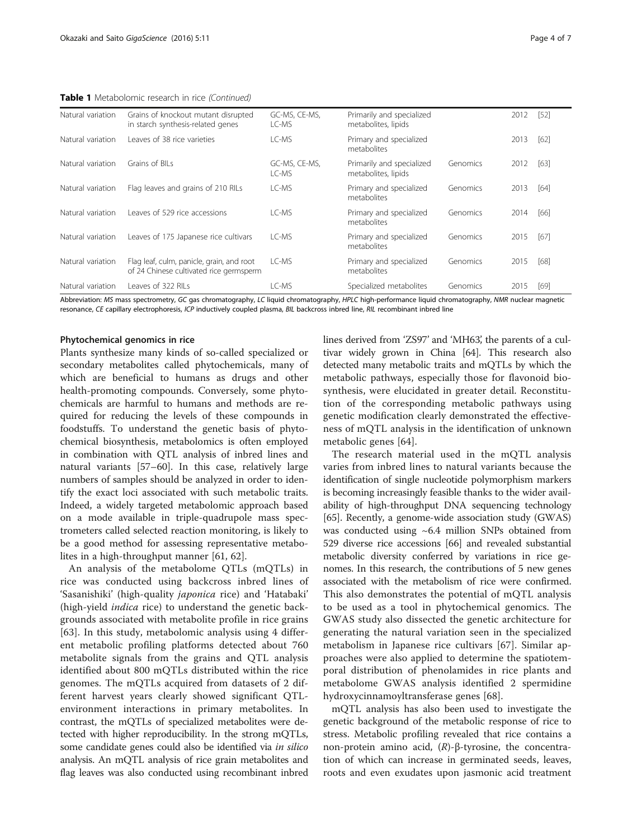Table 1 Metabolomic research in rice (Continued)

| Natural variation | Grains of knockout mutant disrupted<br>in starch synthesis-related genes             | GC-MS, CE-MS,<br>LC-MS   | Primarily and specialized<br>metabolites, lipids |          | 2012 | [52] |
|-------------------|--------------------------------------------------------------------------------------|--------------------------|--------------------------------------------------|----------|------|------|
| Natural variation | Leaves of 38 rice varieties                                                          | LC-MS                    | Primary and specialized<br>metabolites           |          | 2013 | [62] |
| Natural variation | Grains of BILs                                                                       | GC-MS, CE-MS,<br>$IC-MS$ | Primarily and specialized<br>metabolites, lipids | Genomics | 2012 | [63] |
| Natural variation | Flag leaves and grains of 210 RILs                                                   | LC-MS                    | Primary and specialized<br>metabolites           | Genomics | 2013 | [64] |
| Natural variation | Leaves of 529 rice accessions                                                        | I C-MS                   | Primary and specialized<br>metabolites           | Genomics | 2014 | [66] |
| Natural variation | Leaves of 175 Japanese rice cultivars                                                | LC-MS                    | Primary and specialized<br>metabolites           | Genomics | 2015 | [67] |
| Natural variation | Flag leaf, culm, panicle, grain, and root<br>of 24 Chinese cultivated rice germsperm | LC-MS                    | Primary and specialized<br>metabolites           | Genomics | 2015 | [68] |
| Natural variation | Leaves of 322 RILs                                                                   | I C-MS                   | Specialized metabolites                          | Genomics | 2015 | [69] |

Abbreviation: MS mass spectrometry, GC gas chromatography, LC liquid chromatography, HPLC high-performance liquid chromatography, NMR nuclear magnetic resonance, CE capillary electrophoresis, ICP inductively coupled plasma, BIL backcross inbred line, RIL recombinant inbred line

# Phytochemical genomics in rice

Plants synthesize many kinds of so-called specialized or secondary metabolites called phytochemicals, many of which are beneficial to humans as drugs and other health-promoting compounds. Conversely, some phytochemicals are harmful to humans and methods are required for reducing the levels of these compounds in foodstuffs. To understand the genetic basis of phytochemical biosynthesis, metabolomics is often employed in combination with QTL analysis of inbred lines and natural variants [\[57](#page-5-0)–[60\]](#page-5-0). In this case, relatively large numbers of samples should be analyzed in order to identify the exact loci associated with such metabolic traits. Indeed, a widely targeted metabolomic approach based on a mode available in triple-quadrupole mass spectrometers called selected reaction monitoring, is likely to be a good method for assessing representative metabolites in a high-throughput manner [[61](#page-5-0), [62](#page-5-0)].

An analysis of the metabolome QTLs (mQTLs) in rice was conducted using backcross inbred lines of 'Sasanishiki' (high-quality japonica rice) and 'Hatabaki' (high-yield indica rice) to understand the genetic backgrounds associated with metabolite profile in rice grains [[63\]](#page-6-0). In this study, metabolomic analysis using 4 different metabolic profiling platforms detected about 760 metabolite signals from the grains and QTL analysis identified about 800 mQTLs distributed within the rice genomes. The mQTLs acquired from datasets of 2 different harvest years clearly showed significant QTLenvironment interactions in primary metabolites. In contrast, the mQTLs of specialized metabolites were detected with higher reproducibility. In the strong mQTLs, some candidate genes could also be identified via in silico analysis. An mQTL analysis of rice grain metabolites and flag leaves was also conducted using recombinant inbred lines derived from 'ZS97' and 'MH63', the parents of a cultivar widely grown in China [[64](#page-6-0)]. This research also detected many metabolic traits and mQTLs by which the metabolic pathways, especially those for flavonoid biosynthesis, were elucidated in greater detail. Reconstitution of the corresponding metabolic pathways using genetic modification clearly demonstrated the effectiveness of mQTL analysis in the identification of unknown metabolic genes [[64\]](#page-6-0).

The research material used in the mQTL analysis varies from inbred lines to natural variants because the identification of single nucleotide polymorphism markers is becoming increasingly feasible thanks to the wider availability of high-throughput DNA sequencing technology [[65](#page-6-0)]. Recently, a genome-wide association study (GWAS) was conducted using ~6.4 million SNPs obtained from 529 diverse rice accessions [[66](#page-6-0)] and revealed substantial metabolic diversity conferred by variations in rice genomes. In this research, the contributions of 5 new genes associated with the metabolism of rice were confirmed. This also demonstrates the potential of mQTL analysis to be used as a tool in phytochemical genomics. The GWAS study also dissected the genetic architecture for generating the natural variation seen in the specialized metabolism in Japanese rice cultivars [[67\]](#page-6-0). Similar approaches were also applied to determine the spatiotemporal distribution of phenolamides in rice plants and metabolome GWAS analysis identified 2 spermidine hydroxycinnamoyltransferase genes [[68\]](#page-6-0).

mQTL analysis has also been used to investigate the genetic background of the metabolic response of rice to stress. Metabolic profiling revealed that rice contains a non-protein amino acid, (R)-β-tyrosine, the concentration of which can increase in germinated seeds, leaves, roots and even exudates upon jasmonic acid treatment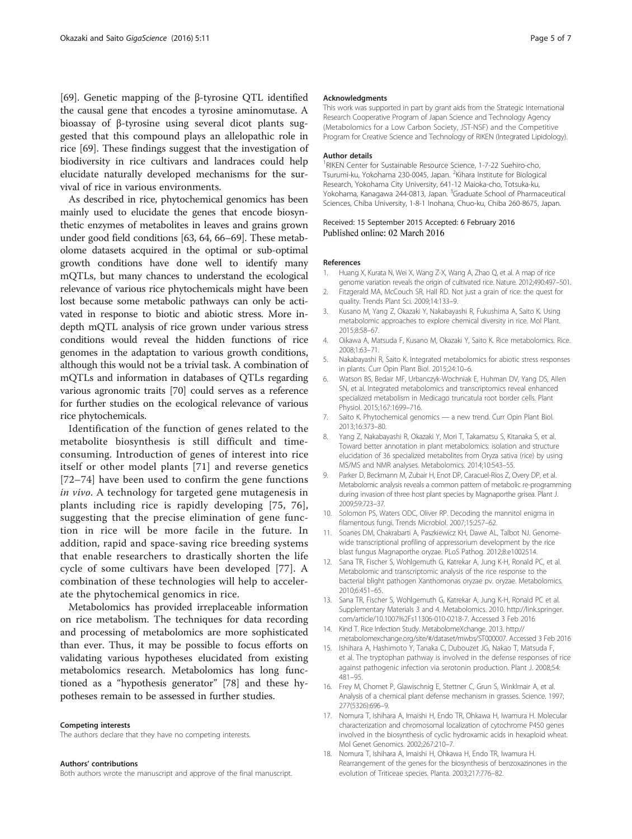<span id="page-4-0"></span>[[69\]](#page-6-0). Genetic mapping of the β-tyrosine QTL identified the causal gene that encodes a tyrosine aminomutase. A bioassay of β-tyrosine using several dicot plants suggested that this compound plays an allelopathic role in rice [\[69\]](#page-6-0). These findings suggest that the investigation of biodiversity in rice cultivars and landraces could help elucidate naturally developed mechanisms for the survival of rice in various environments.

As described in rice, phytochemical genomics has been mainly used to elucidate the genes that encode biosynthetic enzymes of metabolites in leaves and grains grown under good field conditions [\[63](#page-6-0), [64, 66](#page-6-0)–[69\]](#page-6-0). These metabolome datasets acquired in the optimal or sub-optimal growth conditions have done well to identify many mQTLs, but many chances to understand the ecological relevance of various rice phytochemicals might have been lost because some metabolic pathways can only be activated in response to biotic and abiotic stress. More indepth mQTL analysis of rice grown under various stress conditions would reveal the hidden functions of rice genomes in the adaptation to various growth conditions, although this would not be a trivial task. A combination of mQTLs and information in databases of QTLs regarding various agronomic traits [\[70\]](#page-6-0) could serves as a reference for further studies on the ecological relevance of various rice phytochemicals.

Identification of the function of genes related to the metabolite biosynthesis is still difficult and timeconsuming. Introduction of genes of interest into rice itself or other model plants [[71](#page-6-0)] and reverse genetics [[72](#page-6-0)–[74\]](#page-6-0) have been used to confirm the gene functions in vivo. A technology for targeted gene mutagenesis in plants including rice is rapidly developing [[75, 76](#page-6-0)], suggesting that the precise elimination of gene function in rice will be more facile in the future. In addition, rapid and space-saving rice breeding systems that enable researchers to drastically shorten the life cycle of some cultivars have been developed [[77](#page-6-0)]. A combination of these technologies will help to accelerate the phytochemical genomics in rice.

Metabolomics has provided irreplaceable information on rice metabolism. The techniques for data recording and processing of metabolomics are more sophisticated than ever. Thus, it may be possible to focus efforts on validating various hypotheses elucidated from existing metabolomics research. Metabolomics has long functioned as a "hypothesis generator" [[78\]](#page-6-0) and these hypotheses remain to be assessed in further studies.

#### Competing interests

The authors declare that they have no competing interests.

### Authors' contributions

Both authors wrote the manuscript and approve of the final manuscript.

### Acknowledgments

This work was supported in part by grant aids from the Strategic International Research Cooperative Program of Japan Science and Technology Agency (Metabolomics for a Low Carbon Society, JST-NSF) and the Competitive Program for Creative Science and Technology of RIKEN (Integrated Lipidology).

### Author details

<sup>1</sup>RIKEN Center for Sustainable Resource Science, 1-7-22 Suehiro-cho, Tsurumi-ku, Yokohama 230-0045, Japan. <sup>2</sup>Kihara Institute for Biological Research, Yokohama City University, 641-12 Maioka-cho, Totsuka-ku, Yokohama, Kanagawa 244-0813, Japan. <sup>3</sup>Graduate School of Pharmaceutical Sciences, Chiba University, 1-8-1 Inohana, Chuo-ku, Chiba 260-8675, Japan.

### Received: 15 September 2015 Accepted: 6 February 2016 Published online: 02 March 2016

### References

- 1. Huang X, Kurata N, Wei X, Wang Z-X, Wang A, Zhao Q, et al. A map of rice genome variation reveals the origin of cultivated rice. Nature. 2012;490:497–501.
- 2. Fitzgerald MA, McCouch SR, Hall RD. Not just a grain of rice: the quest for quality. Trends Plant Sci. 2009;14:133–9.
- 3. Kusano M, Yang Z, Okazaki Y, Nakabayashi R, Fukushima A, Saito K. Using metabolomic approaches to explore chemical diversity in rice. Mol Plant. 2015;8:58–67.
- 4. Oikawa A, Matsuda F, Kusano M, Okazaki Y, Saito K. Rice metabolomics. Rice. 2008;1:63–71.
- 5. Nakabayashi R, Saito K. Integrated metabolomics for abiotic stress responses in plants. Curr Opin Plant Biol. 2015;24:10–6.
- 6. Watson BS, Bedair MF, Urbanczyk-Wochniak E, Huhman DV, Yang DS, Allen SN, et al. Integrated metabolomics and transcriptomics reveal enhanced specialized metabolism in Medicago truncatula root border cells. Plant Physiol. 2015;167:1699–716.
- 7. Saito K. Phytochemical genomics a new trend. Curr Opin Plant Biol. 2013;16:373–80.
- 8. Yang Z, Nakabayashi R, Okazaki Y, Mori T, Takamatsu S, Kitanaka S, et al. Toward better annotation in plant metabolomics: isolation and structure elucidation of 36 specialized metabolites from Oryza sativa (rice) by using MS/MS and NMR analyses. Metabolomics. 2014;10:543–55.
- 9. Parker D, Beckmann M, Zubair H, Enot DP, Caracuel-Rios Z, Overy DP, et al. Metabolomic analysis reveals a common pattern of metabolic re-programming during invasion of three host plant species by Magnaporthe grisea. Plant J. 2009;59:723–37.
- 10. Solomon PS, Waters ODC, Oliver RP. Decoding the mannitol enigma in filamentous fungi. Trends Microbiol. 2007;15:257–62.
- 11. Soanes DM, Chakrabarti A, Paszkiewicz KH, Dawe AL, Talbot NJ. Genomewide transcriptional profiling of appressorium development by the rice blast fungus Magnaporthe oryzae. PLoS Pathog. 2012;8:e1002514.
- 12. Sana TR, Fischer S, Wohlgemuth G, Katrekar A, Jung K-H, Ronald PC, et al. Metabolomic and transcriptomic analysis of the rice response to the bacterial blight pathogen Xanthomonas oryzae pv. oryzae. Metabolomics. 2010;6:451–65.
- 13. Sana TR, Fischer S, Wohlgemuth G, Katrekar A, Jung K-H, Ronald PC et al. Supplementary Materials 3 and 4. Metabolomics. 2010. [http://link.springer.](http://link.springer.com/article/10.1007/s11306-010-0218-7) [com/article/10.1007%2Fs11306-010-0218-7.](http://link.springer.com/article/10.1007/s11306-010-0218-7) Accessed 3 Feb 2016
- 14. Kind T. Rice Infection Study. MetabolomeXchange. 2013. [http://](http://metabolomexchange.org/site/#/dataset/mwbs/ST000007) [metabolomexchange.org/site/#/dataset/mwbs/ST000007](http://metabolomexchange.org/site/#/dataset/mwbs/ST000007). Accessed 3 Feb 2016
- 15. Ishihara A, Hashimoto Y, Tanaka C, Dubouzet JG, Nakao T, Matsuda F, et al. The tryptophan pathway is involved in the defense responses of rice against pathogenic infection via serotonin production. Plant J. 2008;54: 481–95.
- 16. Frey M, Chomet P, Glawischnig E, Stettner C, Grun S, Winklmair A, et al. Analysis of a chemical plant defense mechanism in grasses. Science. 1997; 277(5326):696–9.
- 17. Nomura T, Ishihara A, Imaishi H, Endo TR, Ohkawa H, Iwamura H. Molecular characterization and chromosomal localization of cytochrome P450 genes involved in the biosynthesis of cyclic hydroxamic acids in hexaploid wheat. Mol Genet Genomics. 2002;267:210–7.
- 18. Nomura T, Ishihara A, Imaishi H, Ohkawa H, Endo TR, Iwamura H. Rearrangement of the genes for the biosynthesis of benzoxazinones in the evolution of Triticeae species. Planta. 2003;217:776–82.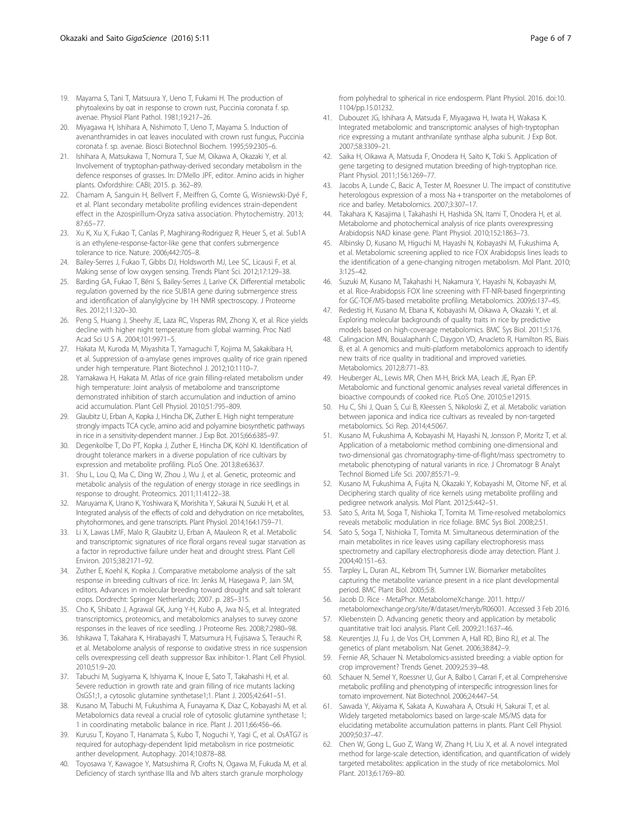- <span id="page-5-0"></span>19. Mayama S, Tani T, Matsuura Y, Ueno T, Fukami H. The production of phytoalexins by oat in response to crown rust, Puccinia coronata f. sp. avenae. Physiol Plant Pathol. 1981;19:217–26.
- 20. Miyagawa H, Ishihara A, Nishimoto T, Ueno T, Mayama S. Induction of avenanthramides in oat leaves inoculated with crown rust fungus, Puccinia coronata f. sp. avenae. Biosci Biotechnol Biochem. 1995;59:2305–6.
- 21. Ishihara A, Matsukawa T, Nomura T, Sue M, Oikawa A, Okazaki Y, et al. Involvement of tryptophan-pathway-derived secondary metabolism in the defence responses of grasses. In: D'Mello JPF, editor. Amino acids in higher plants. Oxfordshire: CABI; 2015. p. 362–89.
- 22. Chamam A, Sanguin H, Bellvert F, Meiffren G, Comte G, Wisniewski-Dyé F, et al. Plant secondary metabolite profiling evidences strain-dependent effect in the Azospirillum-Oryza sativa association. Phytochemistry. 2013; 87:65–77.
- 23. Xu K, Xu X, Fukao T, Canlas P, Maghirang-Rodriguez R, Heuer S, et al. Sub1A is an ethylene-response-factor-like gene that confers submergence tolerance to rice. Nature. 2006;442:705–8.
- 24. Bailey-Serres J, Fukao T, Gibbs DJ, Holdsworth MJ, Lee SC, Licausi F, et al. Making sense of low oxygen sensing. Trends Plant Sci. 2012;17:129–38.
- 25. Barding GA, Fukao T, Béni S, Bailey-Serres J, Larive CK. Differential metabolic regulation governed by the rice SUB1A gene during submergence stress and identification of alanylglycine by 1H NMR spectroscopy. J Proteome Res. 2012;11:320–30.
- 26. Peng S, Huang J, Sheehy JE, Laza RC, Visperas RM, Zhong X, et al. Rice yields decline with higher night temperature from global warming. Proc Natl Acad Sci U S A. 2004;101:9971–5.
- 27. Hakata M, Kuroda M, Miyashita T, Yamaguchi T, Kojima M, Sakakibara H, et al. Suppression of α-amylase genes improves quality of rice grain ripened under high temperature. Plant Biotechnol J. 2012;10:1110–7.
- 28. Yamakawa H, Hakata M. Atlas of rice grain filling-related metabolism under high temperature: Joint analysis of metabolome and transcriptome demonstrated inhibition of starch accumulation and induction of amino acid accumulation. Plant Cell Physiol. 2010;51:795–809.
- 29. Glaubitz U, Erban A, Kopka J, Hincha DK, Zuther E. High night temperature strongly impacts TCA cycle, amino acid and polyamine biosynthetic pathways in rice in a sensitivity-dependent manner. J Exp Bot. 2015;66:6385–97.
- 30. Degenkolbe T, Do PT, Kopka J, Zuther E, Hincha DK, Köhl KI. Identification of drought tolerance markers in a diverse population of rice cultivars by expression and metabolite profiling. PLoS One. 2013;8:e63637.
- 31. Shu L, Lou Q, Ma C, Ding W, Zhou J, Wu J, et al. Genetic, proteomic and metabolic analysis of the regulation of energy storage in rice seedlings in response to drought. Proteomics. 2011;11:4122–38.
- 32. Maruyama K, Urano K, Yoshiwara K, Morishita Y, Sakurai N, Suzuki H, et al. Integrated analysis of the effects of cold and dehydration on rice metabolites, phytohormones, and gene transcripts. Plant Physiol. 2014;164:1759–71.
- 33. Li X, Lawas LMF, Malo R, Glaubitz U, Erban A, Mauleon R, et al. Metabolic and transcriptomic signatures of rice floral organs reveal sugar starvation as a factor in reproductive failure under heat and drought stress. Plant Cell Environ. 2015;38:2171–92.
- 34. Zuther E, Koehl K, Kopka J. Comparative metabolome analysis of the salt response in breeding cultivars of rice. In: Jenks M, Hasegawa P, Jain SM, editors. Advances in molecular breeding toward drought and salt tolerant crops. Dordrecht: Springer Netherlands; 2007. p. 285–315.
- 35. Cho K, Shibato J, Agrawal GK, Jung Y-H, Kubo A, Jwa N-S, et al. Integrated transcriptomics, proteomics, and metabolomics analyses to survey ozone responses in the leaves of rice seedling. J Proteome Res. 2008;7:2980–98.
- 36. Ishikawa T, Takahara K, Hirabayashi T, Matsumura H, Fujisawa S, Terauchi R, et al. Metabolome analysis of response to oxidative stress in rice suspension cells overexpressing cell death suppressor Bax inhibitor-1. Plant Cell Physiol. 2010;51:9–20.
- 37. Tabuchi M, Sugiyama K, Ishiyama K, Inoue E, Sato T, Takahashi H, et al. Severe reduction in growth rate and grain filling of rice mutants lacking OsGS1;1, a cytosolic glutamine synthetase1;1. Plant J. 2005;42:641–51.
- 38. Kusano M, Tabuchi M, Fukushima A, Funayama K, Diaz C, Kobayashi M, et al. Metabolomics data reveal a crucial role of cytosolic glutamine synthetase 1; 1 in coordinating metabolic balance in rice. Plant J. 2011;66:456–66.
- 39. Kurusu T, Koyano T, Hanamata S, Kubo T, Noguchi Y, Yagi C, et al. OsATG7 is required for autophagy-dependent lipid metabolism in rice postmeiotic anther development. Autophagy. 2014;10:878–88.
- 40. Toyosawa Y, Kawagoe Y, Matsushima R, Crofts N, Ogawa M, Fukuda M, et al. Deficiency of starch synthase IIIa and IVb alters starch granule morphology

from polyhedral to spherical in rice endosperm. Plant Physiol. 2016. doi[:10.](http://dx.doi.org/10.1104/pp.15.01232) [1104/pp.15.01232.](http://dx.doi.org/10.1104/pp.15.01232)

- 41. Dubouzet JG, Ishihara A, Matsuda F, Miyagawa H, Iwata H, Wakasa K. Integrated metabolomic and transcriptomic analyses of high-tryptophan rice expressing a mutant anthranilate synthase alpha subunit. J Exp Bot. 2007;58:3309–21.
- 42. Saika H, Oikawa A, Matsuda F, Onodera H, Saito K, Toki S. Application of gene targeting to designed mutation breeding of high-tryptophan rice. Plant Physiol. 2011;156:1269–77.
- 43. Jacobs A, Lunde C, Bacic A, Tester M, Roessner U. The impact of constitutive heterologous expression of a moss Na + transporter on the metabolomes of rice and barley. Metabolomics. 2007;3:307–17.
- 44. Takahara K, Kasajima I, Takahashi H, Hashida SN, Itami T, Onodera H, et al. Metabolome and photochemical analysis of rice plants overexpressing Arabidopsis NAD kinase gene. Plant Physiol. 2010;152:1863–73.
- 45. Albinsky D, Kusano M, Higuchi M, Hayashi N, Kobayashi M, Fukushima A, et al. Metabolomic screening applied to rice FOX Arabidopsis lines leads to the identification of a gene-changing nitrogen metabolism. Mol Plant. 2010; 3:125–42.
- 46. Suzuki M, Kusano M, Takahashi H, Nakamura Y, Hayashi N, Kobayashi M, et al. Rice-Arabidopsis FOX line screening with FT-NIR-based fingerprinting for GC-TOF/MS-based metabolite profiling. Metabolomics. 2009;6:137–45.
- 47. Redestig H, Kusano M, Ebana K, Kobayashi M, Oikawa A, Okazaki Y, et al. Exploring molecular backgrounds of quality traits in rice by predictive models based on high-coverage metabolomics. BMC Sys Biol. 2011;5:176.
- 48. Calingacion MN, Boualaphanh C, Daygon VD, Anacleto R, Hamilton RS, Biais B, et al. A genomics and multi-platform metabolomics approach to identify new traits of rice quality in traditional and improved varieties. Metabolomics. 2012;8:771–83.
- 49. Heuberger AL, Lewis MR, Chen M-H, Brick MA, Leach JE, Ryan EP. Metabolomic and functional genomic analyses reveal varietal differences in bioactive compounds of cooked rice. PLoS One. 2010;5:e12915.
- 50. Hu C, Shi J, Quan S, Cui B, Kleessen S, Nikoloski Z, et al. Metabolic variation between japonica and indica rice cultivars as revealed by non-targeted metabolomics. Sci Rep. 2014;4:5067.
- 51. Kusano M, Fukushima A, Kobayashi M, Hayashi N, Jonsson P, Moritz T, et al. Application of a metabolomic method combining one-dimensional and two-dimensional gas chromatography-time-of-flight/mass spectrometry to metabolic phenotyping of natural variants in rice. J Chromatogr B Analyt Technol Biomed Life Sci. 2007;855:71–9.
- 52. Kusano M, Fukushima A, Fujita N, Okazaki Y, Kobayashi M, Oitome NF, et al. Deciphering starch quality of rice kernels using metabolite profiling and pedigree network analysis. Mol Plant. 2012;5:442–51.
- 53. Sato S, Arita M, Soga T, Nishioka T, Tomita M. Time-resolved metabolomics reveals metabolic modulation in rice foliage. BMC Sys Biol. 2008;2:51.
- 54. Sato S, Soga T, Nishioka T, Tomita M. Simultaneous determination of the main metabolites in rice leaves using capillary electrophoresis mass spectrometry and capillary electrophoresis diode array detection. Plant J. 2004;40:151–63.
- 55. Tarpley L, Duran AL, Kebrom TH, Sumner LW. Biomarker metabolites capturing the metabolite variance present in a rice plant developmental period. BMC Plant Biol. 2005;5:8.
- 56. Jacob D. Rice MetaPhor. MetabolomeXchange. 2011. [http://](http://metabolomexchange.org/site/#/dataset/meryb/R06001) [metabolomexchange.org/site/#/dataset/meryb/R06001.](http://metabolomexchange.org/site/#/dataset/meryb/R06001) Accessed 3 Feb 2016.
- 57. Kliebenstein D. Advancing genetic theory and application by metabolic quantitative trait loci analysis. Plant Cell. 2009;21:1637–46.
- 58. Keurentjes JJ, Fu J, de Vos CH, Lommen A, Hall RD, Bino RJ, et al. The genetics of plant metabolism. Nat Genet. 2006;38:842–9.
- 59. Fernie AR, Schauer N. Metabolomics-assisted breeding: a viable option for crop improvement? Trends Genet. 2009;25:39–48.
- 60. Schauer N, Semel Y, Roessner U, Gur A, Balbo I, Carrari F, et al. Comprehensive metabolic profiling and phenotyping of interspecific introgression lines for tomato improvement. Nat Biotechnol. 2006;24:447–54.
- 61. Sawada Y, Akiyama K, Sakata A, Kuwahara A, Otsuki H, Sakurai T, et al. Widely targeted metabolomics based on large-scale MS/MS data for elucidating metabolite accumulation patterns in plants. Plant Cell Physiol. 2009;50:37–47.
- 62. Chen W, Gong L, Guo Z, Wang W, Zhang H, Liu X, et al. A novel integrated method for large-scale detection, identification, and quantification of widely targeted metabolites: application in the study of rice metabolomics. Mol Plant. 2013;6:1769–80.